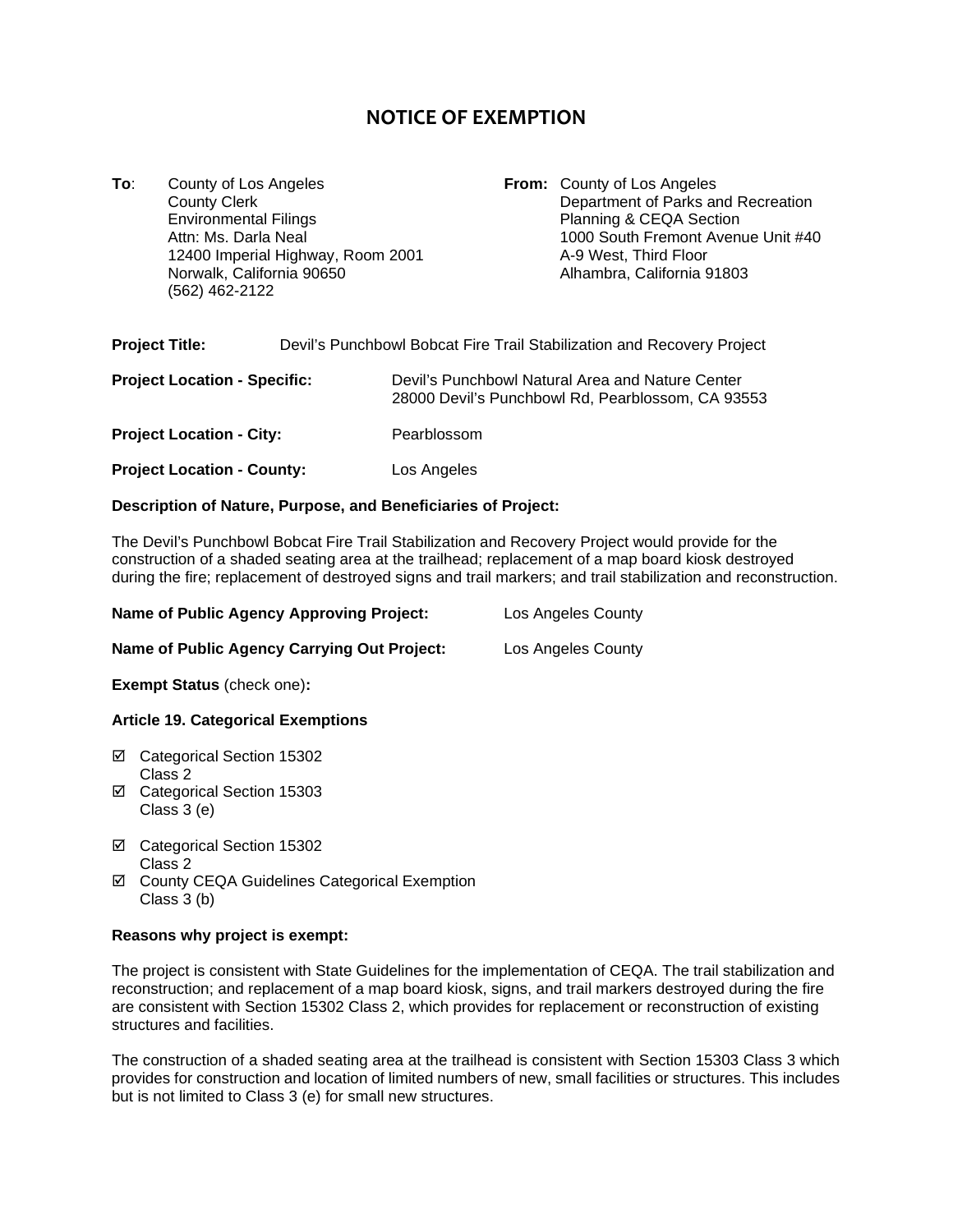# **NOTICE OF EXEMPTION**

**To**: County of Los Angeles **From:** County of Los Angeles County Clerk **From:** County Clerk **From:** County Clerk **From:** County Clerk **From:** County Clerk **From:** County Clerk **From:** County Clerk **From:** County Clerk **Fro** County Clerk County Clerk County Clerk County Clerk County Clerk County Clerk County Clerk County Clerk County<br>
Department of Parks and Recreation<br>
Department of Parks and Recreation<br>
Department of Parks and Recreation Attn: Ms. Darla Neal 1000 South Fremont Avenue Unit #40<br>12400 Imperial Highway, Room 2001 12400 A-9 West, Third Floor 12400 Imperial Highway, Room 2001<br>Norwalk, California 90650 (562) 462-2122

Planning & CEQA Section Alhambra, California 91803

| <b>Project Title:</b>               | Devil's Punchbowl Bobcat Fire Trail Stabilization and Recovery Project |                                                                                                       |  |
|-------------------------------------|------------------------------------------------------------------------|-------------------------------------------------------------------------------------------------------|--|
| <b>Project Location - Specific:</b> |                                                                        | Devil's Punchbowl Natural Area and Nature Center<br>28000 Devil's Punchbowl Rd, Pearblossom, CA 93553 |  |
| <b>Project Location - City:</b>     |                                                                        | Pearblossom                                                                                           |  |
| <b>Project Location - County:</b>   |                                                                        | Los Angeles                                                                                           |  |

### **Description of Nature, Purpose, and Beneficiaries of Project:**

The Devil's Punchbowl Bobcat Fire Trail Stabilization and Recovery Project would provide for the construction of a shaded seating area at the trailhead; replacement of a map board kiosk destroyed during the fire; replacement of destroyed signs and trail markers; and trail stabilization and reconstruction.

| <b>Name of Public Agency Approving Project:</b> | Los Angeles County |
|-------------------------------------------------|--------------------|
| Name of Public Agency Carrying Out Project:     | Los Angeles County |

**Exempt Status** (check one)**:**

## **Article 19. Categorical Exemptions**

- Categorical Section 15302 Class 2
- Categorical Section 15303 Class 3 (e)
- Categorical Section 15302 Class 2
- County CEQA Guidelines Categorical Exemption Class 3 (b)

#### **Reasons why project is exempt:**

The project is consistent with State Guidelines for the implementation of CEQA. The trail stabilization and reconstruction; and replacement of a map board kiosk, signs, and trail markers destroyed during the fire are consistent with Section 15302 Class 2, which provides for replacement or reconstruction of existing structures and facilities.

The construction of a shaded seating area at the trailhead is consistent with Section 15303 Class 3 which provides for construction and location of limited numbers of new, small facilities or structures. This includes but is not limited to Class 3 (e) for small new structures.